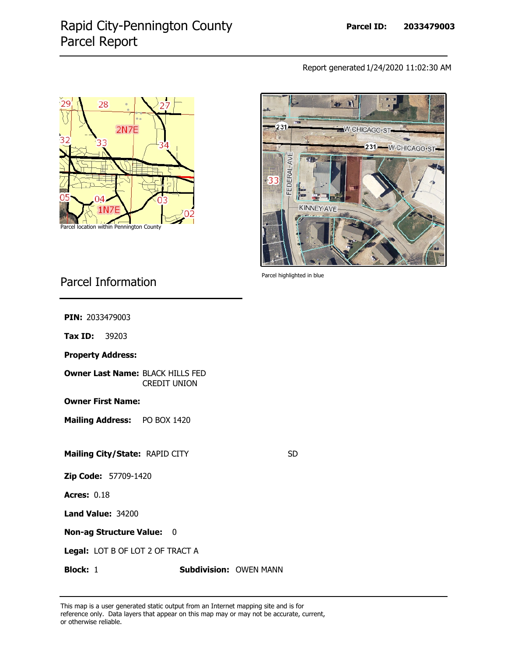## Rapid City-Pennington County Parcel Report

Report generated 1/24/2020 11:02:30 AM





Parcel highlighted in blue

## Parcel Information

**PIN:** 2033479003

**Tax ID:** 39203

**Property Address:**

**Owner Last Name:** BLACK HILLS FED CREDIT UNION

**Owner First Name:**

**Mailing Address:** PO BOX 1420

**Mailing City/State:** RAPID CITY

SD

**Zip Code:** 57709-1420

**Acres: 0.18** 

**Land Value: 34200** 

**Non-ag Structure Value:** 0

**Legal:** LOT B OF LOT 2 OF TRACT A

**Block:** 1 **Subdivision:** OWEN MANN